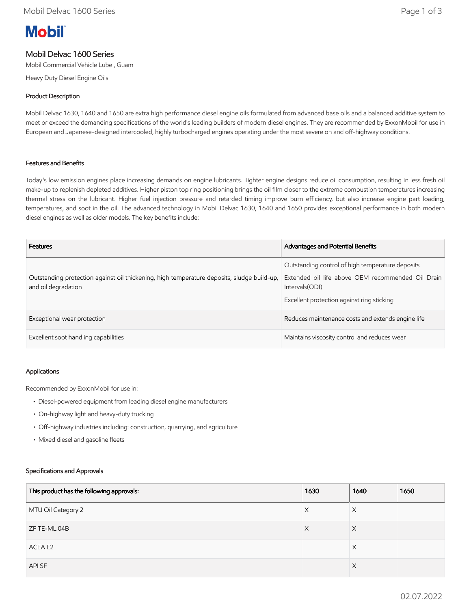# **Mobil**

## Mobil Delvac 1600 Series

Mobil Commercial Vehicle Lube , Guam

Heavy Duty Diesel Engine Oils

### Product Description

Mobil Delvac 1630, 1640 and 1650 are extra high performance diesel engine oils formulated from advanced base oils and a balanced additive system to meet or exceed the demanding specifications of the world's leading builders of modern diesel engines. They are recommended by ExxonMobil for use in European and Japanese-designed intercooled, highly turbocharged engines operating under the most severe on and off-highway conditions.

#### Features and Benefits

Today's low emission engines place increasing demands on engine lubricants. Tighter engine designs reduce oil consumption, resulting in less fresh oil make-up to replenish depleted additives. Higher piston top ring positioning brings the oil film closer to the extreme combustion temperatures increasing thermal stress on the lubricant. Higher fuel injection pressure and retarded timing improve burn efficiency, but also increase engine part loading, temperatures, and soot in the oil. The advanced technology in Mobil Delvac 1630, 1640 and 1650 provides exceptional performance in both modern diesel engines as well as older models. The key benefits include:

| <b>Features</b>                                                                                                   | <b>Advantages and Potential Benefits</b>                                                                                                                               |
|-------------------------------------------------------------------------------------------------------------------|------------------------------------------------------------------------------------------------------------------------------------------------------------------------|
| Outstanding protection against oil thickening, high temperature deposits, sludge build-up,<br>and oil degradation | Outstanding control of high temperature deposits<br>Extended oil life above OEM recommended Oil Drain<br>Intervals (ODI)<br>Excellent protection against ring sticking |
| Exceptional wear protection                                                                                       | Reduces maintenance costs and extends engine life                                                                                                                      |
| Excellent soot handling capabilities                                                                              | Maintains viscosity control and reduces wear                                                                                                                           |

#### Applications

Recommended by ExxonMobil for use in:

- Diesel-powered equipment from leading diesel engine manufacturers
- On-highway light and heavy-duty trucking
- Off-highway industries including: construction, quarrying, and agriculture
- Mixed diesel and gasoline fleets

#### Specifications and Approvals

| This product has the following approvals: | 1630 | 1640     | 1650 |
|-------------------------------------------|------|----------|------|
| MTU Oil Category 2                        | X    | $\times$ |      |
| ZF TE-ML 04B                              | X    | X        |      |
| ACEA E2                                   |      | X        |      |
| API SF                                    |      | $\times$ |      |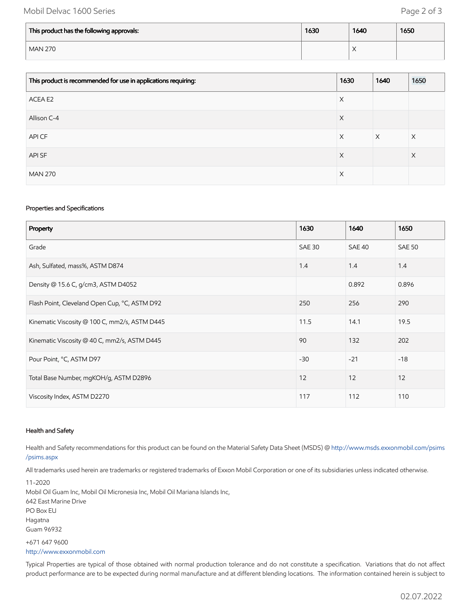## Mobil Delvac 1600 Series **Page 2 of 3**

| This product has the following approvals: | 1630 | 1640                   | 1650 |
|-------------------------------------------|------|------------------------|------|
| <b>MAN 270</b>                            |      | $\lambda$<br>$\lambda$ |      |

| This product is recommended for use in applications requiring: | 1630 | 1640     | 1650 |
|----------------------------------------------------------------|------|----------|------|
| ACEA E2                                                        | Χ    |          |      |
| Allison C-4                                                    | X    |          |      |
| API CF                                                         | Χ    | $\times$ | X    |
| API SF                                                         | X    |          | X    |
| <b>MAN 270</b>                                                 | X    |          |      |

#### Properties and Specifications

| Property                                      | 1630          | 1640   | 1650          |
|-----------------------------------------------|---------------|--------|---------------|
| Grade                                         | <b>SAE 30</b> | SAE 40 | <b>SAE 50</b> |
| Ash, Sulfated, mass%, ASTM D874               | 1.4           | 1.4    | 1.4           |
| Density @ 15.6 C, g/cm3, ASTM D4052           |               | 0.892  | 0.896         |
| Flash Point, Cleveland Open Cup, °C, ASTM D92 | 250           | 256    | 290           |
| Kinematic Viscosity @ 100 C, mm2/s, ASTM D445 | 11.5          | 14.1   | 19.5          |
| Kinematic Viscosity @ 40 C, mm2/s, ASTM D445  | 90            | 132    | 202           |
| Pour Point, °C, ASTM D97                      | $-30$         | $-21$  | $-18$         |
| Total Base Number, mgKOH/g, ASTM D2896        | 12            | 12     | 12            |
| Viscosity Index, ASTM D2270                   | 117           | 112    | 110           |

#### Health and Safety

Health and Safety recommendations for this product can be found on the Material Safety Data Sheet (MSDS) @ [http://www.msds.exxonmobil.com/psims](http://www.msds.exxonmobil.com/psims/psims.aspx) /psims.aspx

All trademarks used herein are trademarks or registered trademarks of Exxon Mobil Corporation or one of its subsidiaries unless indicated otherwise.

11-2020 Mobil Oil Guam Inc, Mobil Oil Micronesia Inc, Mobil Oil Mariana Islands Inc, 642 East Marine Drive PO Box EU Hagatna Guam 96932 +671 647 9600 [http://www.exxonmobil.com](http://www.exxonmobil.com/)

Typical Properties are typical of those obtained with normal production tolerance and do not constitute a specification. Variations that do not affect product performance are to be expected during normal manufacture and at different blending locations. The information contained herein is subject to